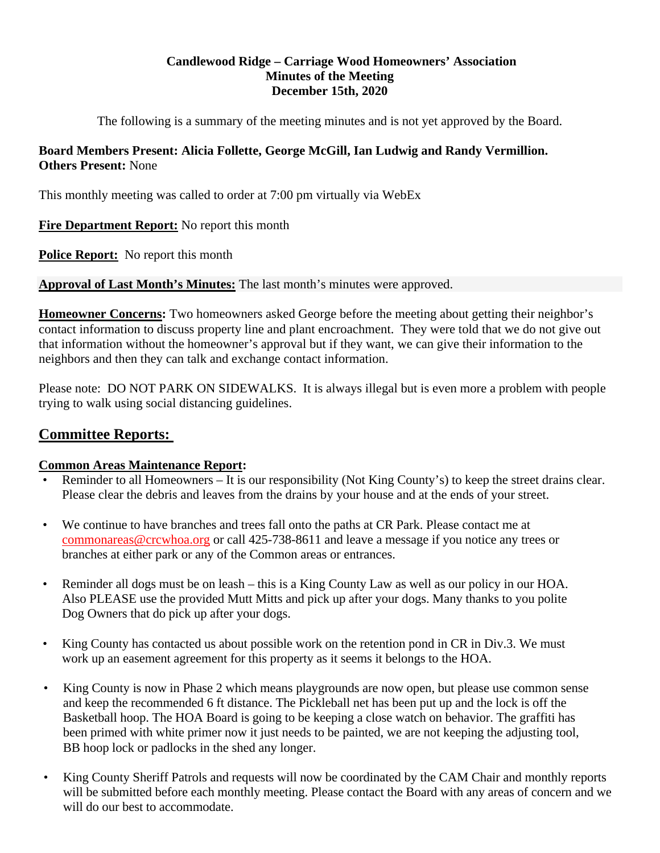## **Candlewood Ridge – Carriage Wood Homeowners' Association Minutes of the Meeting December 15th, 2020**

The following is a summary of the meeting minutes and is not yet approved by the Board.

## **Board Members Present: Alicia Follette, George McGill, Ian Ludwig and Randy Vermillion. Others Present:** None

This monthly meeting was called to order at 7:00 pm virtually via WebEx

**Fire Department Report:** No report this month

**Police Report:** No report this month

**Approval of Last Month's Minutes:** The last month's minutes were approved.

**Homeowner Concerns:** Two homeowners asked George before the meeting about getting their neighbor's contact information to discuss property line and plant encroachment. They were told that we do not give out that information without the homeowner's approval but if they want, we can give their information to the neighbors and then they can talk and exchange contact information.

Please note: DO NOT PARK ON SIDEWALKS. It is always illegal but is even more a problem with people trying to walk using social distancing guidelines.

# **Committee Reports:**

## **Common Areas Maintenance Report:**

- Reminder to all Homeowners It is our responsibility (Not King County's) to keep the street drains clear. Please clear the debris and leaves from the drains by your house and at the ends of your street.
- We continue to have branches and trees fall onto the paths at CR Park. Please contact me at commonareas@crcwhoa.org or call 425-738-8611 and leave a message if you notice any trees or branches at either park or any of the Common areas or entrances.
- Reminder all dogs must be on leash this is a King County Law as well as our policy in our HOA. Also PLEASE use the provided Mutt Mitts and pick up after your dogs. Many thanks to you polite Dog Owners that do pick up after your dogs.
- King County has contacted us about possible work on the retention pond in CR in Div.3. We must work up an easement agreement for this property as it seems it belongs to the HOA.
- King County is now in Phase 2 which means playgrounds are now open, but please use common sense and keep the recommended 6 ft distance. The Pickleball net has been put up and the lock is off the Basketball hoop. The HOA Board is going to be keeping a close watch on behavior. The graffiti has been primed with white primer now it just needs to be painted, we are not keeping the adjusting tool, BB hoop lock or padlocks in the shed any longer.
- King County Sheriff Patrols and requests will now be coordinated by the CAM Chair and monthly reports will be submitted before each monthly meeting. Please contact the Board with any areas of concern and we will do our best to accommodate.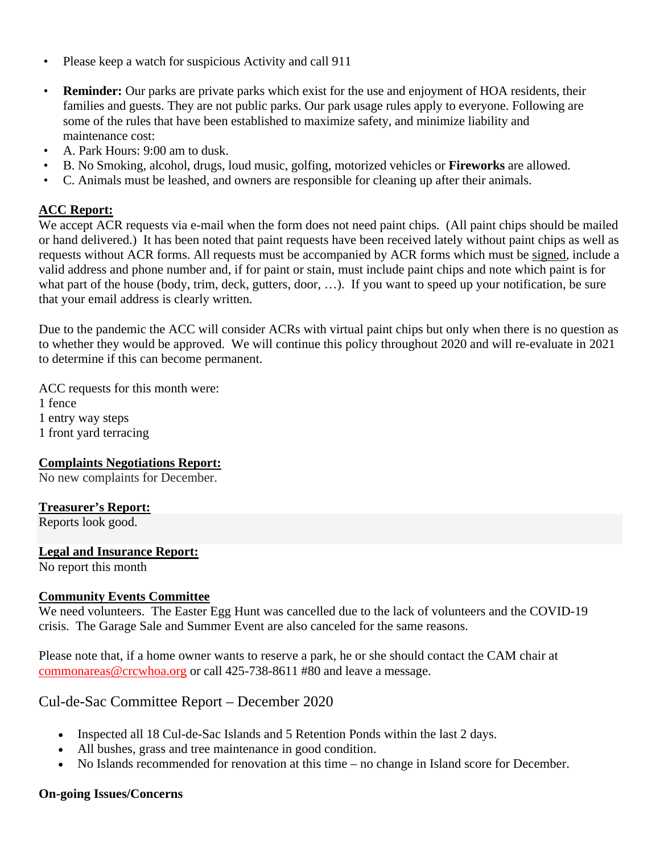- Please keep a watch for suspicious Activity and call 911
- **Reminder:** Our parks are private parks which exist for the use and enjoyment of HOA residents, their families and guests. They are not public parks. Our park usage rules apply to everyone. Following are some of the rules that have been established to maximize safety, and minimize liability and maintenance cost:
- A. Park Hours: 9:00 am to dusk.
- B. No Smoking, alcohol, drugs, loud music, golfing, motorized vehicles or **Fireworks** are allowed.
- C. Animals must be leashed, and owners are responsible for cleaning up after their animals.

### **ACC Report:**

We accept ACR requests via e-mail when the form does not need paint chips. (All paint chips should be mailed or hand delivered.) It has been noted that paint requests have been received lately without paint chips as well as requests without ACR forms. All requests must be accompanied by ACR forms which must be signed, include a valid address and phone number and, if for paint or stain, must include paint chips and note which paint is for what part of the house (body, trim, deck, gutters, door, ...). If you want to speed up your notification, be sure that your email address is clearly written.

Due to the pandemic the ACC will consider ACRs with virtual paint chips but only when there is no question as to whether they would be approved. We will continue this policy throughout 2020 and will re-evaluate in 2021 to determine if this can become permanent.

ACC requests for this month were: 1 fence 1 entry way steps 1 front yard terracing

#### **Complaints Negotiations Report:**

No new complaints for December.

#### **Treasurer's Report:**

Reports look good.

#### **Legal and Insurance Report:**

No report this month

#### **Community Events Committee**

We need volunteers. The Easter Egg Hunt was cancelled due to the lack of volunteers and the COVID-19 crisis. The Garage Sale and Summer Event are also canceled for the same reasons.

Please note that, if a home owner wants to reserve a park, he or she should contact the CAM chair at commonareas@crcwhoa.org or call 425-738-8611 #80 and leave a message.

## Cul-de-Sac Committee Report – December 2020

- Inspected all 18 Cul-de-Sac Islands and 5 Retention Ponds within the last 2 days.
- All bushes, grass and tree maintenance in good condition.
- No Islands recommended for renovation at this time no change in Island score for December.

#### **On-going Issues/Concerns**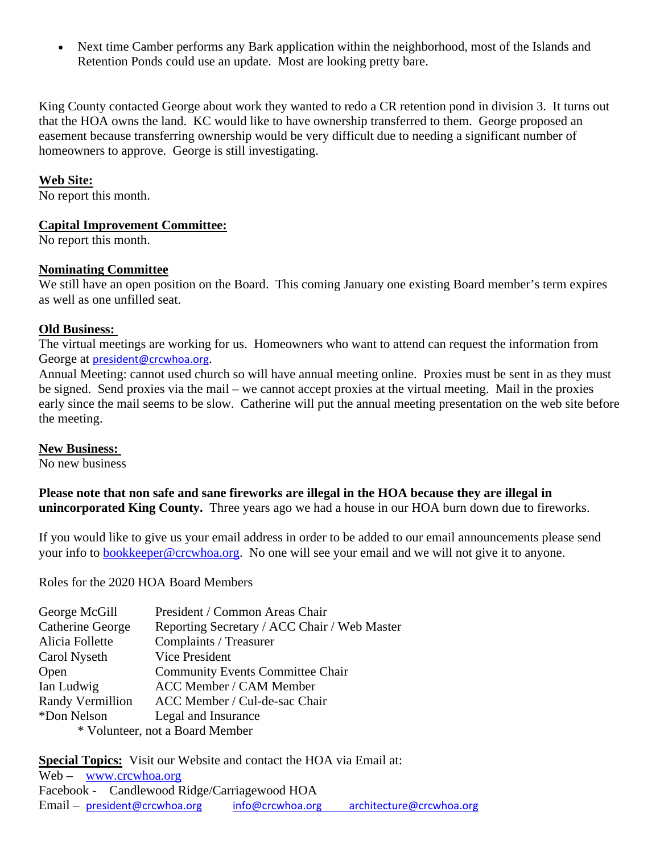Next time Camber performs any Bark application within the neighborhood, most of the Islands and Retention Ponds could use an update. Most are looking pretty bare.

King County contacted George about work they wanted to redo a CR retention pond in division 3. It turns out that the HOA owns the land. KC would like to have ownership transferred to them. George proposed an easement because transferring ownership would be very difficult due to needing a significant number of homeowners to approve. George is still investigating.

### **Web Site:**

No report this month.

#### **Capital Improvement Committee:**

No report this month.

#### **Nominating Committee**

We still have an open position on the Board. This coming January one existing Board member's term expires as well as one unfilled seat.

#### **Old Business:**

The virtual meetings are working for us. Homeowners who want to attend can request the information from George at president@crcwhoa.org.

Annual Meeting: cannot used church so will have annual meeting online. Proxies must be sent in as they must be signed. Send proxies via the mail – we cannot accept proxies at the virtual meeting. Mail in the proxies early since the mail seems to be slow. Catherine will put the annual meeting presentation on the web site before the meeting.

#### **New Business:**

No new business

**Please note that non safe and sane fireworks are illegal in the HOA because they are illegal in unincorporated King County.** Three years ago we had a house in our HOA burn down due to fireworks.

If you would like to give us your email address in order to be added to our email announcements please send your info to bookkeeper@crcwhoa.org. No one will see your email and we will not give it to anyone.

Roles for the 2020 HOA Board Members

| George McGill                   | President / Common Areas Chair               |
|---------------------------------|----------------------------------------------|
| Catherine George                | Reporting Secretary / ACC Chair / Web Master |
| Alicia Follette                 | Complaints / Treasurer                       |
| Carol Nyseth                    | Vice President                               |
| Open                            | <b>Community Events Committee Chair</b>      |
| Ian Ludwig                      | <b>ACC Member / CAM Member</b>               |
| Randy Vermillion                | ACC Member / Cul-de-sac Chair                |
| *Don Nelson                     | Legal and Insurance                          |
| * Volunteer, not a Board Member |                                              |

**Special Topics:** Visit our Website and contact the HOA via Email at: Web – www.crcwhoa.org

Facebook - Candlewood Ridge/Carriagewood HOA Email – president@crcwhoa.org info@crcwhoa.org architecture@crcwhoa.org